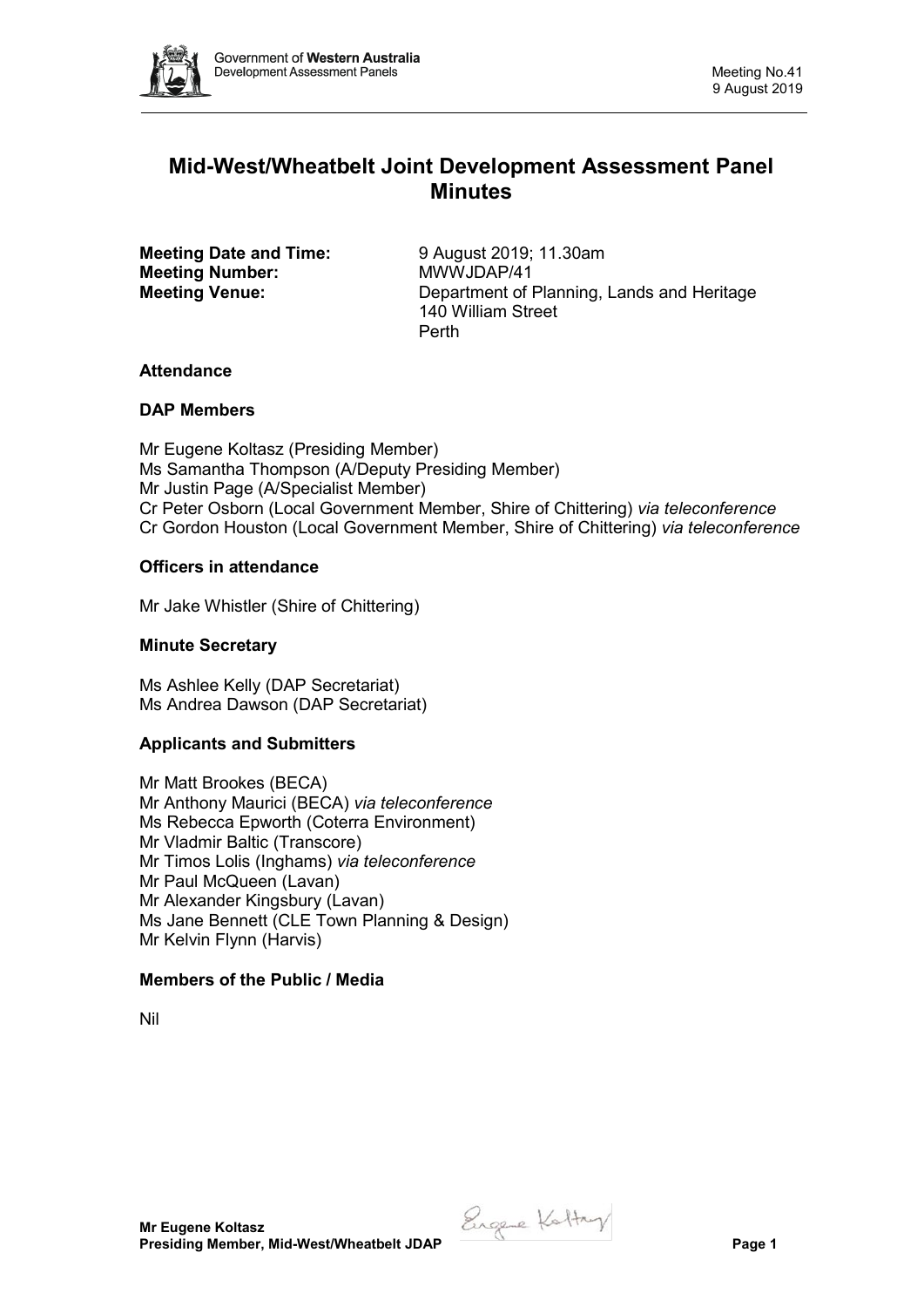

# **Mid-West/Wheatbelt Joint Development Assessment Panel Minutes**

**Meeting Date and Time:** 9 August 2019; 11.30am<br> **Meeting Number:** MWWJDAP/41 **Meeting Number:** 

**Meeting Venue:** Department of Planning, Lands and Heritage 140 William Street Perth

# **Attendance**

# **DAP Members**

Mr Eugene Koltasz (Presiding Member) Ms Samantha Thompson (A/Deputy Presiding Member) Mr Justin Page (A/Specialist Member) Cr Peter Osborn (Local Government Member, Shire of Chittering) *via teleconference* Cr Gordon Houston (Local Government Member, Shire of Chittering) *via teleconference*

# **Officers in attendance**

Mr Jake Whistler (Shire of Chittering)

# **Minute Secretary**

Ms Ashlee Kelly (DAP Secretariat) Ms Andrea Dawson (DAP Secretariat)

# **Applicants and Submitters**

Mr Matt Brookes (BECA) Mr Anthony Maurici (BECA) *via teleconference* Ms Rebecca Epworth (Coterra Environment) Mr Vladmir Baltic (Transcore) Mr Timos Lolis (Inghams) *via teleconference* Mr Paul McQueen (Lavan) Mr Alexander Kingsbury (Lavan) Ms Jane Bennett (CLE Town Planning & Design) Mr Kelvin Flynn (Harvis)

# **Members of the Public / Media**

Nil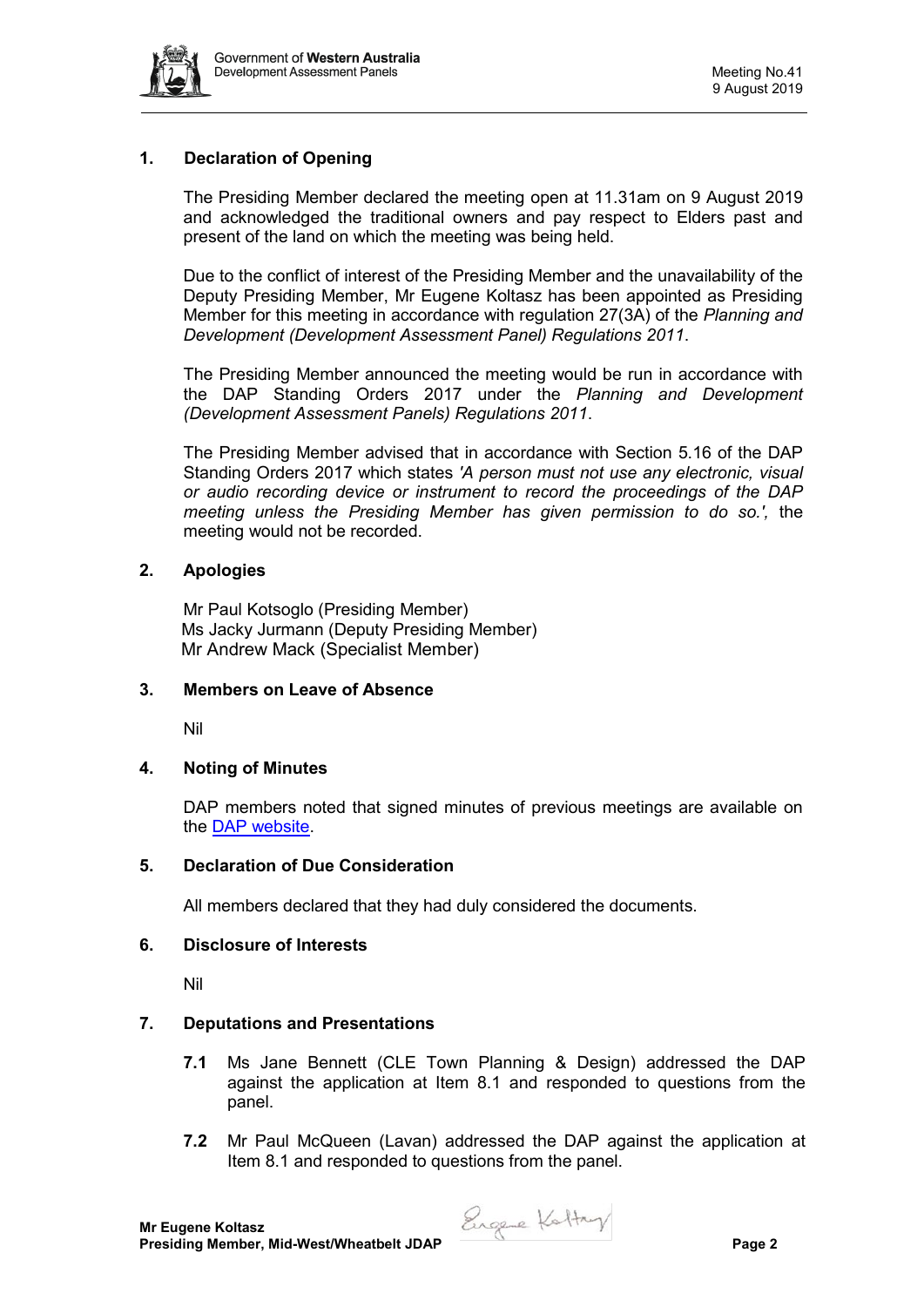

# **1. Declaration of Opening**

The Presiding Member declared the meeting open at 11.31am on 9 August 2019 and acknowledged the traditional owners and pay respect to Elders past and present of the land on which the meeting was being held.

Due to the conflict of interest of the Presiding Member and the unavailability of the Deputy Presiding Member, Mr Eugene Koltasz has been appointed as Presiding Member for this meeting in accordance with regulation 27(3A) of the *Planning and Development (Development Assessment Panel) Regulations 2011*.

The Presiding Member announced the meeting would be run in accordance with the DAP Standing Orders 2017 under the *Planning and Development (Development Assessment Panels) Regulations 2011*.

The Presiding Member advised that in accordance with Section 5.16 of the DAP Standing Orders 2017 which states *'A person must not use any electronic, visual or audio recording device or instrument to record the proceedings of the DAP meeting unless the Presiding Member has given permission to do so.',* the meeting would not be recorded.

# **2. Apologies**

Mr Paul Kotsoglo (Presiding Member) Ms Jacky Jurmann (Deputy Presiding Member) Mr Andrew Mack (Specialist Member)

#### **3. Members on Leave of Absence**

Nil

# **4. Noting of Minutes**

DAP members noted that signed minutes of previous meetings are available on the [DAP website.](https://www.dplh.wa.gov.au/about/development-assessment-panels/daps-agendas-and-minutes)

#### **5. Declaration of Due Consideration**

All members declared that they had duly considered the documents.

#### **6. Disclosure of Interests**

Nil

#### **7. Deputations and Presentations**

- **7.1** Ms Jane Bennett (CLE Town Planning & Design) addressed the DAP against the application at Item 8.1 and responded to questions from the panel.
- **7.2** Mr Paul McQueen (Lavan) addressed the DAP against the application at Item 8.1 and responded to questions from the panel.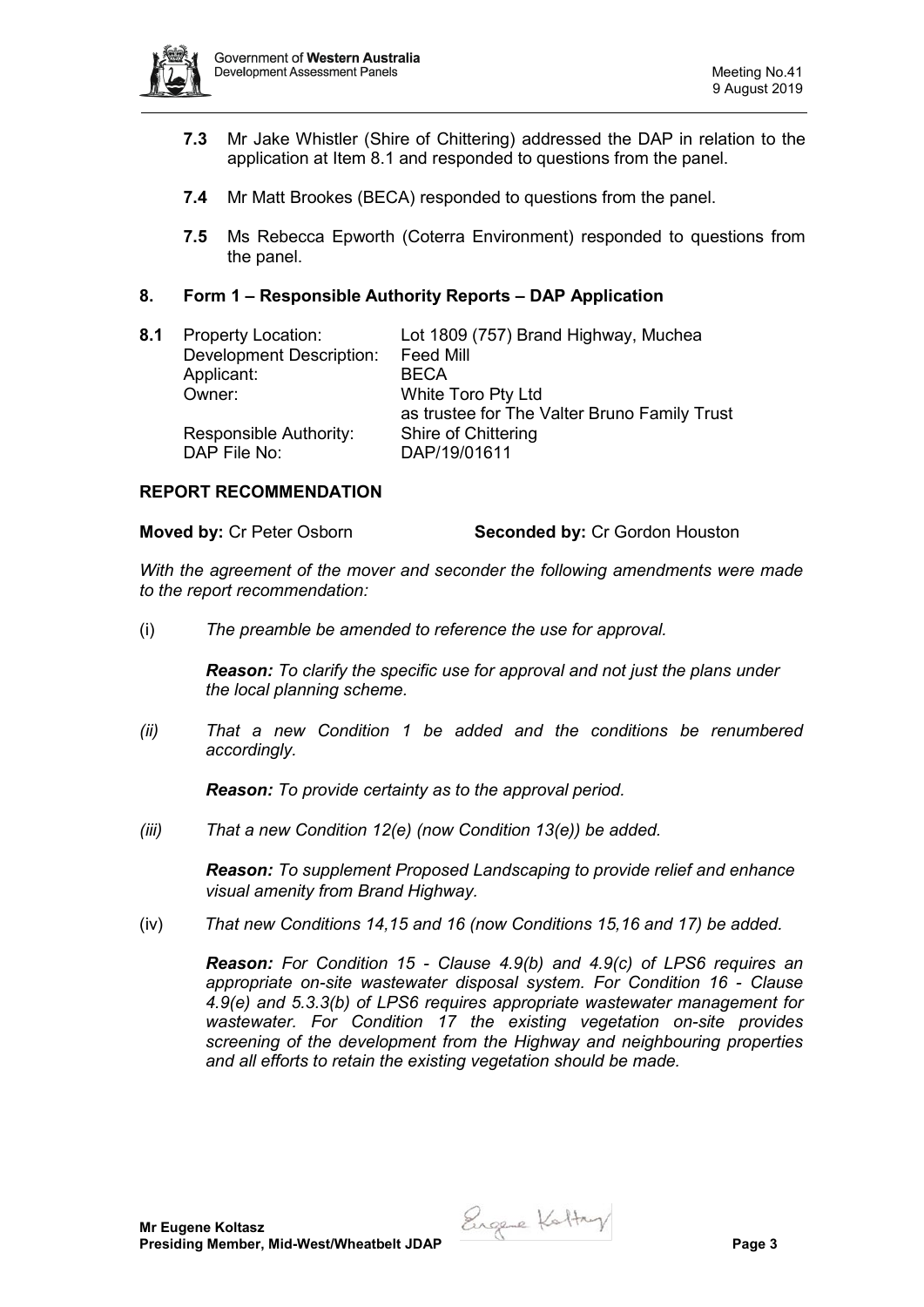

- **7.3** Mr Jake Whistler (Shire of Chittering) addressed the DAP in relation to the application at Item 8.1 and responded to questions from the panel.
- **7.4** Mr Matt Brookes (BECA) responded to questions from the panel.
- **7.5** Ms Rebecca Epworth (Coterra Environment) responded to questions from the panel.

### **8. Form 1 – Responsible Authority Reports – DAP Application**

| 8.1 | <b>Property Location:</b>              | Lot 1809 (757) Brand Highway, Muchea                                      |
|-----|----------------------------------------|---------------------------------------------------------------------------|
|     | <b>Development Description:</b>        | <b>Feed Mill</b>                                                          |
|     | Applicant:                             | <b>BECA</b>                                                               |
|     | Owner:                                 | <b>White Toro Pty Ltd</b><br>as trustee for The Valter Bruno Family Trust |
|     | Responsible Authority:<br>DAP File No: | Shire of Chittering<br>DAP/19/01611                                       |
|     |                                        |                                                                           |

#### **REPORT RECOMMENDATION**

*With the agreement of the mover and seconder the following amendments were made to the report recommendation:* 

(i) *The preamble be amended to reference the use for approval.* 

*Reason: To clarify the specific use for approval and not just the plans under the local planning scheme.*

*(ii) That a new Condition 1 be added and the conditions be renumbered accordingly.* 

*Reason: To provide certainty as to the approval period.*

*(iii) That a new Condition 12(e) (now Condition 13(e)) be added.*

*Reason: To supplement Proposed Landscaping to provide relief and enhance visual amenity from Brand Highway.*

(iv) *That new Conditions 14,15 and 16 (now Conditions 15,16 and 17) be added.*

*Reason: For Condition 15 - Clause 4.9(b) and 4.9(c) of LPS6 requires an appropriate on-site wastewater disposal system. For Condition 16 - Clause 4.9(e) and 5.3.3(b) of LPS6 requires appropriate wastewater management for wastewater. For Condition 17 the existing vegetation on-site provides screening of the development from the Highway and neighbouring properties and all efforts to retain the existing vegetation should be made.*

Engere Kattry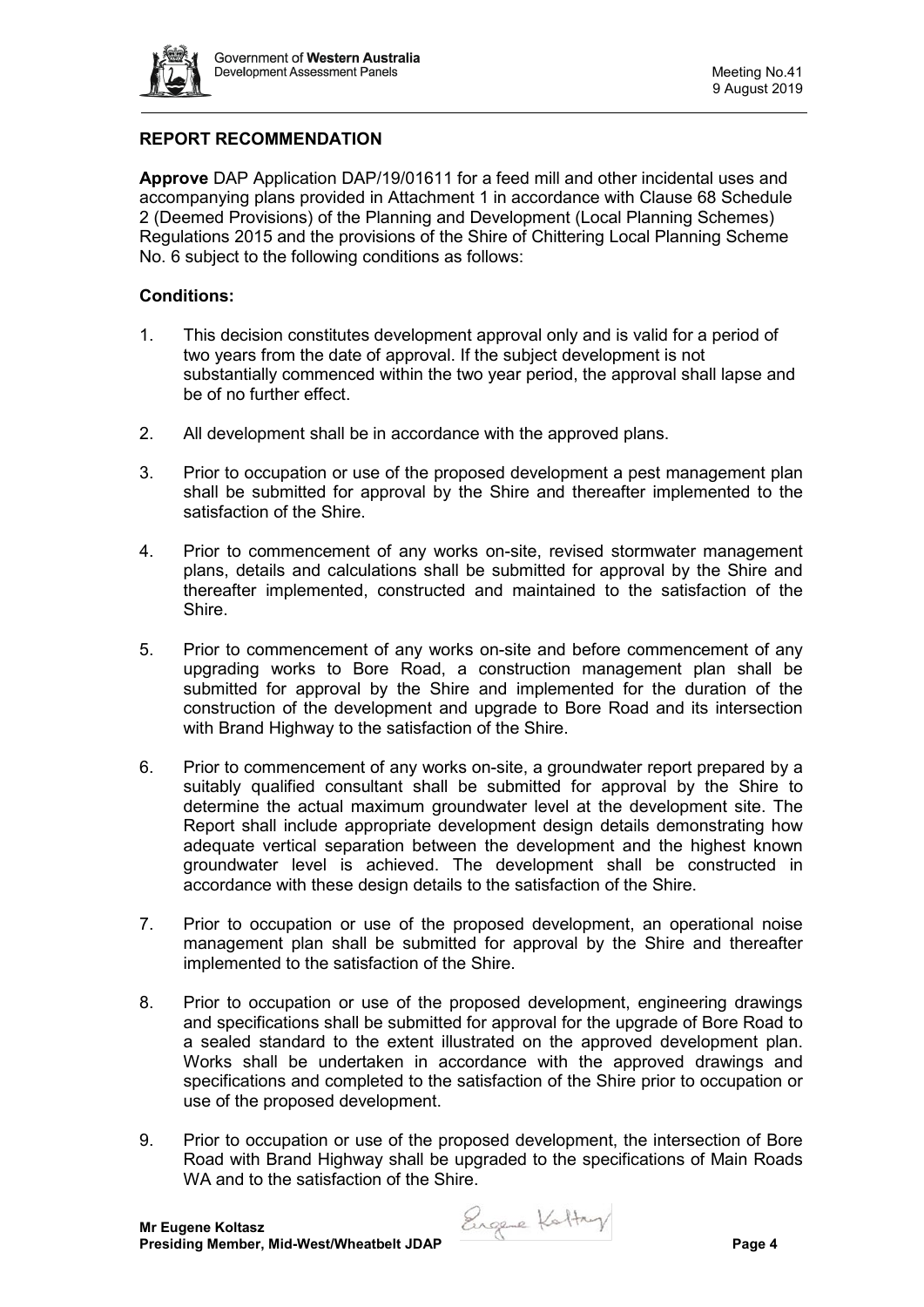

# **REPORT RECOMMENDATION**

**Approve** DAP Application DAP/19/01611 for a feed mill and other incidental uses and accompanying plans provided in Attachment 1 in accordance with Clause 68 Schedule 2 (Deemed Provisions) of the Planning and Development (Local Planning Schemes) Regulations 2015 and the provisions of the Shire of Chittering Local Planning Scheme No. 6 subject to the following conditions as follows:

# **Conditions:**

- 1. This decision constitutes development approval only and is valid for a period of two years from the date of approval. If the subject development is not substantially commenced within the two year period, the approval shall lapse and be of no further effect.
- 2. All development shall be in accordance with the approved plans.
- 3. Prior to occupation or use of the proposed development a pest management plan shall be submitted for approval by the Shire and thereafter implemented to the satisfaction of the Shire.
- 4. Prior to commencement of any works on-site, revised stormwater management plans, details and calculations shall be submitted for approval by the Shire and thereafter implemented, constructed and maintained to the satisfaction of the Shire.
- 5. Prior to commencement of any works on-site and before commencement of any upgrading works to Bore Road, a construction management plan shall be submitted for approval by the Shire and implemented for the duration of the construction of the development and upgrade to Bore Road and its intersection with Brand Highway to the satisfaction of the Shire.
- 6. Prior to commencement of any works on-site, a groundwater report prepared by a suitably qualified consultant shall be submitted for approval by the Shire to determine the actual maximum groundwater level at the development site. The Report shall include appropriate development design details demonstrating how adequate vertical separation between the development and the highest known groundwater level is achieved. The development shall be constructed in accordance with these design details to the satisfaction of the Shire.
- 7. Prior to occupation or use of the proposed development, an operational noise management plan shall be submitted for approval by the Shire and thereafter implemented to the satisfaction of the Shire.
- 8. Prior to occupation or use of the proposed development, engineering drawings and specifications shall be submitted for approval for the upgrade of Bore Road to a sealed standard to the extent illustrated on the approved development plan. Works shall be undertaken in accordance with the approved drawings and specifications and completed to the satisfaction of the Shire prior to occupation or use of the proposed development.
- 9. Prior to occupation or use of the proposed development, the intersection of Bore Road with Brand Highway shall be upgraded to the specifications of Main Roads WA and to the satisfaction of the Shire.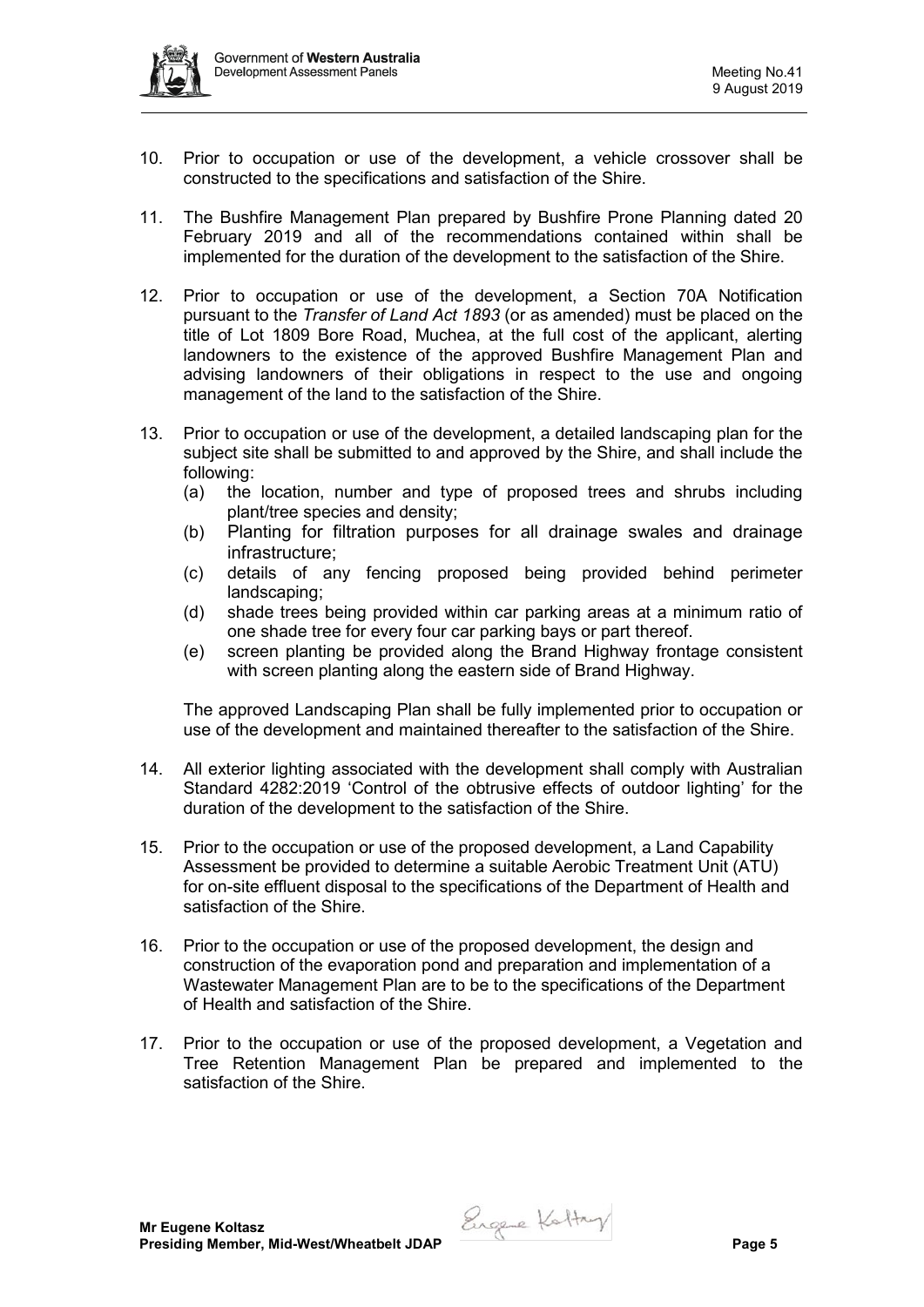

- 10. Prior to occupation or use of the development, a vehicle crossover shall be constructed to the specifications and satisfaction of the Shire.
- 11. The Bushfire Management Plan prepared by Bushfire Prone Planning dated 20 February 2019 and all of the recommendations contained within shall be implemented for the duration of the development to the satisfaction of the Shire.
- 12. Prior to occupation or use of the development, a Section 70A Notification pursuant to the *Transfer of Land Act 1893* (or as amended) must be placed on the title of Lot 1809 Bore Road, Muchea, at the full cost of the applicant, alerting landowners to the existence of the approved Bushfire Management Plan and advising landowners of their obligations in respect to the use and ongoing management of the land to the satisfaction of the Shire.
- 13. Prior to occupation or use of the development, a detailed landscaping plan for the subject site shall be submitted to and approved by the Shire, and shall include the following:
	- (a) the location, number and type of proposed trees and shrubs including plant/tree species and density;
	- (b) Planting for filtration purposes for all drainage swales and drainage infrastructure;
	- (c) details of any fencing proposed being provided behind perimeter landscaping;
	- (d) shade trees being provided within car parking areas at a minimum ratio of one shade tree for every four car parking bays or part thereof.
	- (e) screen planting be provided along the Brand Highway frontage consistent with screen planting along the eastern side of Brand Highway.

The approved Landscaping Plan shall be fully implemented prior to occupation or use of the development and maintained thereafter to the satisfaction of the Shire.

- 14. All exterior lighting associated with the development shall comply with Australian Standard 4282:2019 'Control of the obtrusive effects of outdoor lighting' for the duration of the development to the satisfaction of the Shire.
- 15. Prior to the occupation or use of the proposed development, a Land Capability Assessment be provided to determine a suitable Aerobic Treatment Unit (ATU) for on-site effluent disposal to the specifications of the Department of Health and satisfaction of the Shire.
- 16. Prior to the occupation or use of the proposed development, the design and construction of the evaporation pond and preparation and implementation of a Wastewater Management Plan are to be to the specifications of the Department of Health and satisfaction of the Shire.
- 17. Prior to the occupation or use of the proposed development, a Vegetation and Tree Retention Management Plan be prepared and implemented to the satisfaction of the Shire.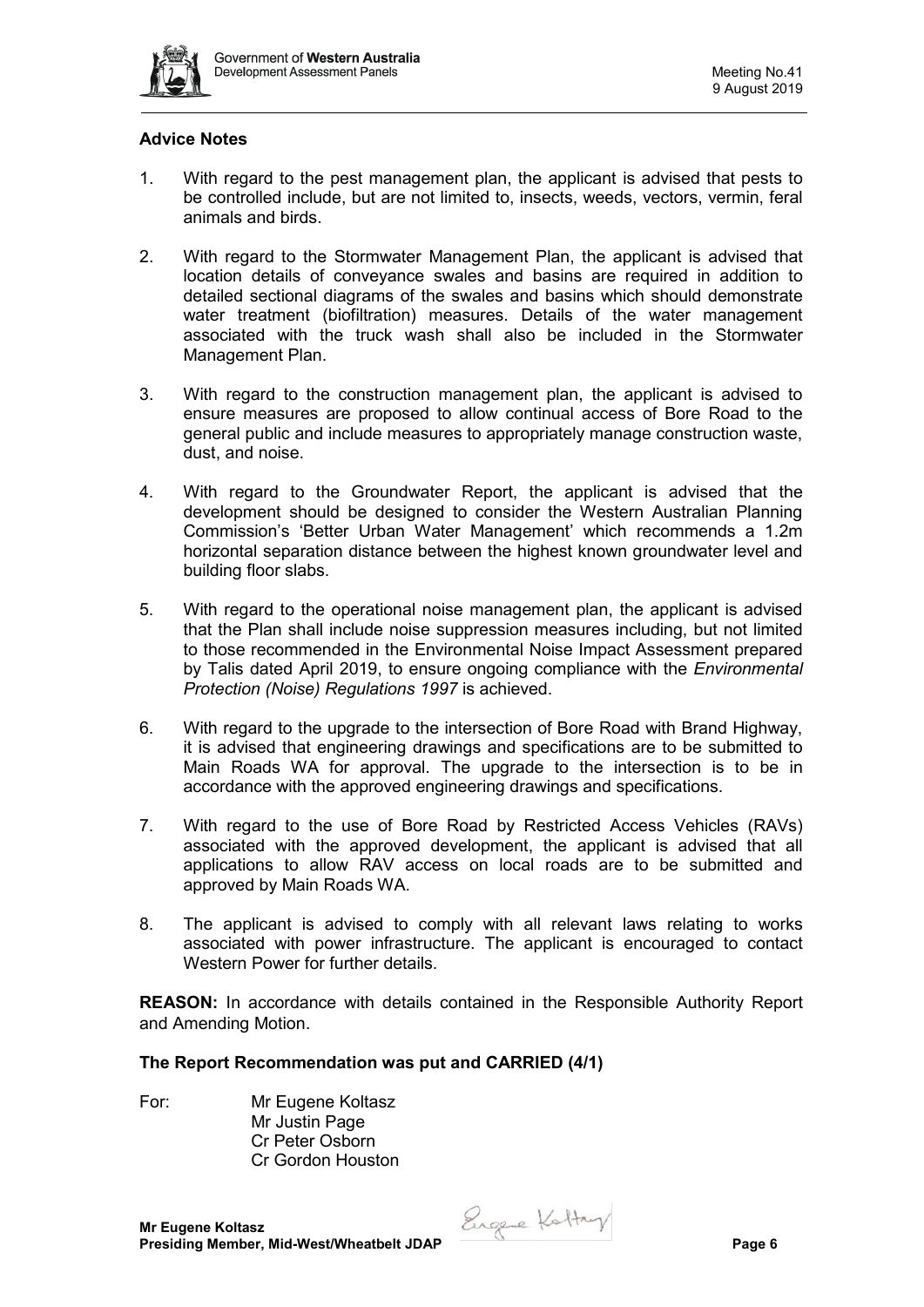

# **Advice Notes**

- 1. With regard to the pest management plan, the applicant is advised that pests to be controlled include, but are not limited to, insects, weeds, vectors, vermin, feral animals and birds.
- 2. With regard to the Stormwater Management Plan, the applicant is advised that location details of conveyance swales and basins are required in addition to detailed sectional diagrams of the swales and basins which should demonstrate water treatment (biofiltration) measures. Details of the water management associated with the truck wash shall also be included in the Stormwater Management Plan.
- 3. With regard to the construction management plan, the applicant is advised to ensure measures are proposed to allow continual access of Bore Road to the general public and include measures to appropriately manage construction waste, dust, and noise.
- 4. With regard to the Groundwater Report, the applicant is advised that the development should be designed to consider the Western Australian Planning Commission's 'Better Urban Water Management' which recommends a 1.2m horizontal separation distance between the highest known groundwater level and building floor slabs.
- 5. With regard to the operational noise management plan, the applicant is advised that the Plan shall include noise suppression measures including, but not limited to those recommended in the Environmental Noise Impact Assessment prepared by Talis dated April 2019, to ensure ongoing compliance with the *Environmental Protection (Noise) Regulations 1997* is achieved.
- 6. With regard to the upgrade to the intersection of Bore Road with Brand Highway, it is advised that engineering drawings and specifications are to be submitted to Main Roads WA for approval. The upgrade to the intersection is to be in accordance with the approved engineering drawings and specifications.
- 7. With regard to the use of Bore Road by Restricted Access Vehicles (RAVs) associated with the approved development, the applicant is advised that all applications to allow RAV access on local roads are to be submitted and approved by Main Roads WA.
- 8. The applicant is advised to comply with all relevant laws relating to works associated with power infrastructure. The applicant is encouraged to contact Western Power for further details.

**REASON:** In accordance with details contained in the Responsible Authority Report and Amending Motion.

#### **The Report Recommendation was put and CARRIED (4/1)**

- 
- For: Mr Eugene Koltasz Mr Justin Page Cr Peter Osborn Cr Gordon Houston